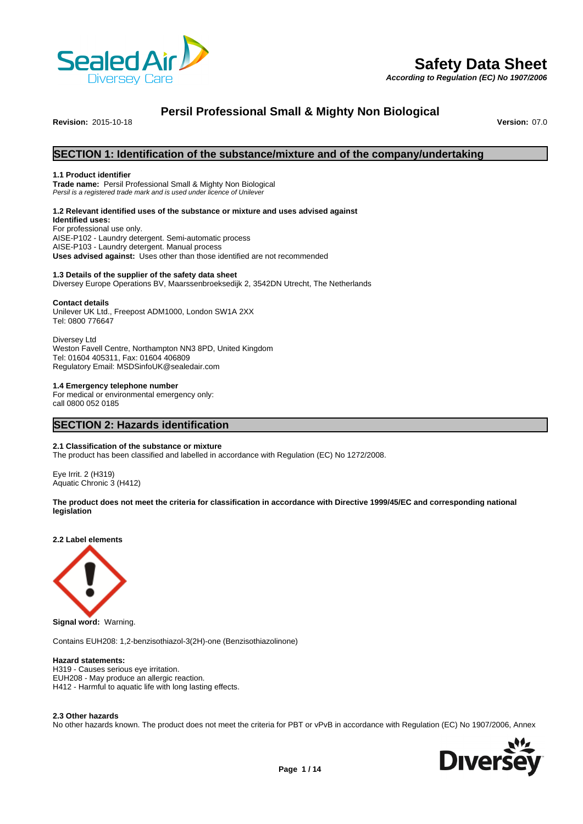

# **Safety Data Sheet**

*According to Regulation (EC) No 1907/2006*

# **Persil Professional Small & Mighty Non Biological**

**Revision:** 2015-10-18 **Version:** 07.0

# **SECTION 1: Identification of the substance/mixture and of the company/undertaking**

#### **1.1 Product identifier**

**Trade name:** Persil Professional Small & Mighty Non Biological *Persil is a registered trade mark and is used under licence of Unilever*

#### **1.2 Relevant identified uses of the substance or mixture and uses advised against**

**Identified uses:** For professional use only. AISE-P102 - Laundry detergent. Semi-automatic process AISE-P103 - Laundry detergent. Manual process **Uses advised against:** Uses other than those identified are not recommended

# **1.3 Details of the supplier of the safety data sheet**

Diversey Europe Operations BV, Maarssenbroeksedijk 2, 3542DN Utrecht, The Netherlands

#### **Contact details**

Unilever UK Ltd., Freepost ADM1000, London SW1A 2XX Tel: 0800 776647

Diversey Ltd Weston Favell Centre, Northampton NN3 8PD, United Kingdom Tel: 01604 405311, Fax: 01604 406809 Regulatory Email: MSDSinfoUK@sealedair.com

#### **1.4 Emergency telephone number**

For medical or environmental emergency only: call 0800 052 0185

# **SECTION 2: Hazards identification**

#### **2.1 Classification of the substance or mixture**

The product has been classified and labelled in accordance with Regulation (EC) No 1272/2008.

Eye Irrit. 2 (H319) Aquatic Chronic 3 (H412)

#### **The product does not meet the criteria for classification in accordance with Directive 1999/45/EC and corresponding national legislation**

**2.2 Label elements**



**Signal word:** Warning.

Contains EUH208: 1,2-benzisothiazol-3(2H)-one (Benzisothiazolinone)

#### **Hazard statements:**

H319 - Causes serious eye irritation. EUH208 - May produce an allergic reaction. H412 - Harmful to aquatic life with long lasting effects.

#### **2.3 Other hazards**

No other hazards known. The product does not meet the criteria for PBT or vPvB in accordance with Regulation (EC) No 1907/2006, Annex

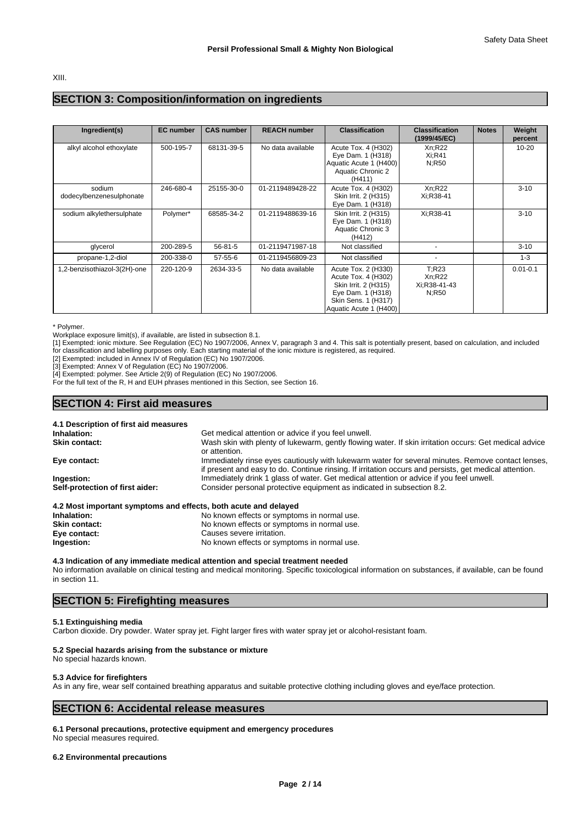XIII.

# **SECTION 3: Composition/information on ingredients**

| Ingredient(s)                      | <b>EC</b> number | <b>CAS number</b> | <b>REACH number</b> | <b>Classification</b>                                                                                                                    | <b>Classification</b><br>(1999/45/EC)    | <b>Notes</b> | Weight<br>percent |
|------------------------------------|------------------|-------------------|---------------------|------------------------------------------------------------------------------------------------------------------------------------------|------------------------------------------|--------------|-------------------|
| alkyl alcohol ethoxylate           | 500-195-7        | 68131-39-5        | No data available   | Acute Tox. 4 (H302)<br>Eye Dam. 1 (H318)<br>Aquatic Acute 1 (H400)<br>Aquatic Chronic 2<br>(H411)                                        | Xn:R22<br>Xi:R41<br>N:R50                |              | $10 - 20$         |
| sodium<br>dodecylbenzenesulphonate | 246-680-4        | 25155-30-0        | 01-2119489428-22    | Acute Tox. 4 (H302)<br>Skin Irrit. 2 (H315)<br>Eye Dam. 1 (H318)                                                                         | Xn:R22<br>Xi:R38-41                      |              | $3 - 10$          |
| sodium alkylethersulphate          | Polymer*         | 68585-34-2        | 01-2119488639-16    | Skin Irrit. 2 (H315)<br>Eye Dam. 1 (H318)<br>Aquatic Chronic 3<br>(H412)                                                                 | Xi:R38-41                                |              | $3 - 10$          |
| glycerol                           | 200-289-5        | 56-81-5           | 01-2119471987-18    | Not classified                                                                                                                           |                                          |              | $3 - 10$          |
| propane-1,2-diol                   | 200-338-0        | 57-55-6           | 01-2119456809-23    | Not classified                                                                                                                           |                                          |              | $1 - 3$           |
| 1,2-benzisothiazol-3(2H)-one       | 220-120-9        | 2634-33-5         | No data available   | Acute Tox. 2 (H330)<br>Acute Tox. 4 (H302)<br>Skin Irrit. 2 (H315)<br>Eye Dam. 1 (H318)<br>Skin Sens. 1 (H317)<br>Aquatic Acute 1 (H400) | T:R23<br>Xn:R22<br>Xi:R38-41-43<br>N:R50 |              | $0.01 - 0.1$      |

\* Polymer.

Workplace exposure limit(s), if available, are listed in subsection 8.1.

[1] Exempted: ionic mixture. See Regulation (EC) No 1907/2006, Annex V, paragraph 3 and 4. This salt is potentially present, based on calculation, and included for classification and labelling purposes only. Each starting material of the ionic mixture is registered, as required.

[2] Exempted: included in Annex IV of Regulation (EC) No 1907/2006.

[3] Exempted: Annex V of Regulation (EC) No 1907/2006.

[4] Exempted: polymer. See Article 2(9) of Regulation (EC) No 1907/2006.

For the full text of the R, H and EUH phrases mentioned in this Section, see Section 16.

## **SECTION 4: First aid measures**

#### **4.1 Description of first aid measures Inhalation:** Get medical attention or advice if you feel unwell.<br> **Skin contact:** Skin with plenty of lukewarm, gently flowing Wash skin with plenty of lukewarm, gently flowing water. If skin irritation occurs: Get medical advice or attention. **Eye contact:** Immediately rinse eyes cautiously with lukewarm water for several minutes. Remove contact lenses, if present and easy to do. Continue rinsing. If irritation occurs and persists, get medical attention. **Ingestion:** Immediately drink 1 glass of water. Get medical attention or advice if you feel unwell.<br> **Self-protection of first aider:** Consider personal protective equipment as indicated in subsection 8.2. **Self-protection of first aider:** Consider personal protective equipment as indicated in subsection 8.2. **4.2 Most important symptoms and effects, both acute and delayed Inhalation:** No known effects or symptoms in normal use.

| innalation:          | The known effects or symptoms in normal use. |
|----------------------|----------------------------------------------|
| <b>Skin contact:</b> | No known effects or symptoms in normal use.  |
| Eye contact:         | Causes severe irritation.                    |
| Ingestion:           | No known effects or symptoms in normal use.  |
|                      |                                              |

#### **4.3 Indication of any immediate medical attention and special treatment needed**

No information available on clinical testing and medical monitoring. Specific toxicological information on substances, if available, can be found in section 11.

### **SECTION 5: Firefighting measures**

## **5.1 Extinguishing media**

Carbon dioxide. Dry powder. Water spray jet. Fight larger fires with water spray jet or alcohol-resistant foam.

#### **5.2 Special hazards arising from the substance or mixture**

No special hazards known.

#### **5.3 Advice for firefighters**

As in any fire, wear self contained breathing apparatus and suitable protective clothing including gloves and eye/face protection.

# **SECTION 6: Accidental release measures**

**6.1 Personal precautions, protective equipment and emergency procedures**

No special measures required.

#### **6.2 Environmental precautions**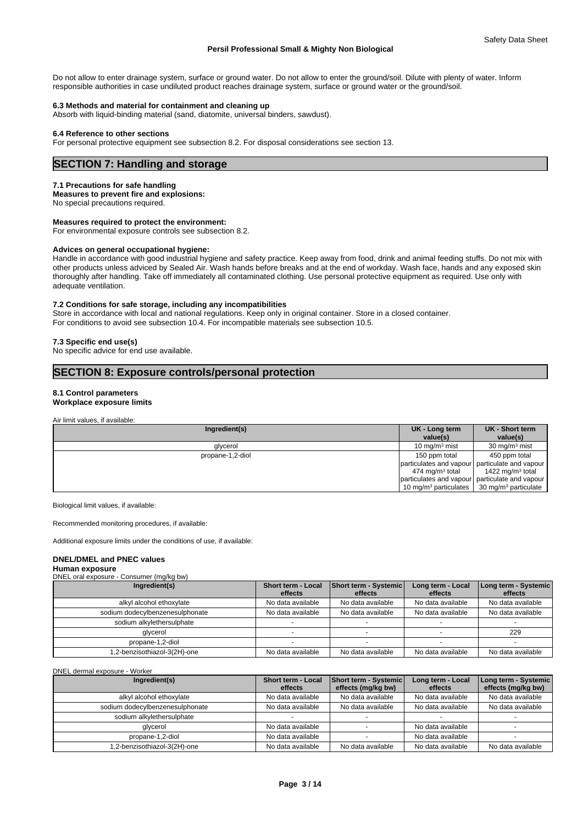Do not allow to enter drainage system, surface or ground water. Do not allow to enter the ground/soil. Dilute with plenty of water. Inform responsible authorities in case undiluted product reaches drainage system, surface or ground water or the ground/soil.

#### **6.3 Methods and material for containment and cleaning up**

Absorb with liquid-binding material (sand, diatomite, universal binders, sawdust).

#### **6.4 Reference to other sections**

For personal protective equipment see subsection 8.2. For disposal considerations see section 13.

# **SECTION 7: Handling and storage**

#### **7.1 Precautions for safe handling**

**Measures to prevent fire and explosions:**

No special precautions required.

#### **Measures required to protect the environment:**

For environmental exposure controls see subsection 8.2.

#### **Advices on general occupational hygiene:**

Handle in accordance with good industrial hygiene and safety practice. Keep away from food, drink and animal feeding stuffs. Do not mix with other products unless adviced by Sealed Air. Wash hands before breaks and at the end of workday. Wash face, hands and any exposed skin thoroughly after handling. Take off immediately all contaminated clothing. Use personal protective equipment as required. Use only with adequate ventilation.

#### **7.2 Conditions for safe storage, including any incompatibilities**

Store in accordance with local and national regulations. Keep only in original container. Store in a closed container. For conditions to avoid see subsection 10.4. For incompatible materials see subsection 10.5.

#### **7.3 Specific end use(s)**

No specific advice for end use available.

# **SECTION 8: Exposure controls/personal protection**

#### **8.1 Control parameters**

**Workplace exposure limits**

Air limit values, if available:

| Ingredient(s)    | UK - Long term<br>value(s)                     | UK - Short term<br>value(s)      |
|------------------|------------------------------------------------|----------------------------------|
| glycerol         | 10 mg/m $3$ mist                               | $30 \text{ mg/m}^3$ mist         |
| propane-1,2-diol | 150 ppm total                                  | 450 ppm total                    |
|                  | particulates and vapour particulate and vapour |                                  |
|                  | 474 mg/m <sup>3</sup> total                    | 1422 mg/m <sup>3</sup> total     |
|                  | particulates and vapour particulate and vapour |                                  |
|                  | 10 mg/m <sup>3</sup> particulates $\vert$      | 30 mg/m <sup>3</sup> particulate |

Biological limit values, if available:

Recommended monitoring procedures, if available:

Additional exposure limits under the conditions of use, if available:

#### **DNEL/DMEL and PNEC values**

#### **Human exposure** DNEL oral exposure - Consumer (mg/kg bw)

| DIVEL OI'D EXPOSULE - CONSUMER (MIG/KG DW) |                               |                                  |                              |                                 |
|--------------------------------------------|-------------------------------|----------------------------------|------------------------------|---------------------------------|
| Ingredient(s)                              | Short term - Local<br>effects | Short term - Systemic<br>effects | Long term - Local<br>effects | Long term - Systemic<br>effects |
| alkyl alcohol ethoxylate                   | No data available             | No data available                | No data available            | No data available               |
| sodium dodecylbenzenesulphonate            | No data available             | No data available                | No data available            | No data available               |
| sodium alkylethersulphate                  |                               |                                  |                              |                                 |
| glycerol                                   |                               |                                  |                              | 229                             |
| propane-1,2-diol                           |                               |                                  |                              |                                 |
| 1.2-benzisothiazol-3(2H)-one               | No data available             | No data available                | No data available            | No data available               |

DNEL dermal exposure - Worker

| Ingredient(s)                   | Short term - Local<br>effects | Short term - Systemic<br>effects (mg/kg bw) | Long term - Local<br>effects | Long term - Systemic<br>effects (mg/kg bw) |
|---------------------------------|-------------------------------|---------------------------------------------|------------------------------|--------------------------------------------|
| alkyl alcohol ethoxylate        | No data available             | No data available                           | No data available            | No data available                          |
| sodium dodecylbenzenesulphonate | No data available             | No data available                           | No data available            | No data available                          |
| sodium alkylethersulphate       |                               |                                             |                              |                                            |
| glycerol                        | No data available             |                                             | No data available            |                                            |
| propane-1,2-diol                | No data available             |                                             | No data available            |                                            |
| 1.2-benzisothiazol-3(2H)-one    | No data available             | No data available                           | No data available            | No data available                          |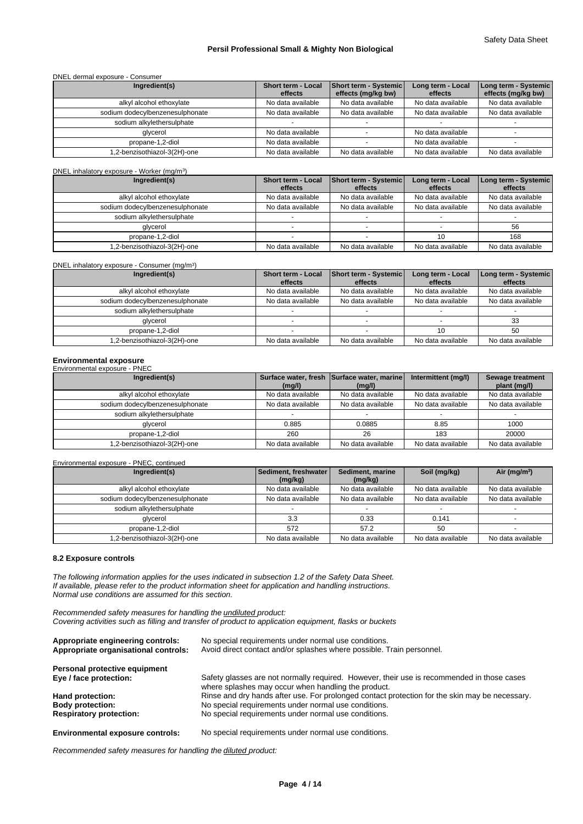#### DNEL dermal exposure - Consumer

| Ingredient(s)                   | Short term - Local<br>effects | Short term - Systemic<br>effects (mg/kg bw) | Long term - Local<br>effects | Long term - Systemic  <br>effects (mg/kg bw) |
|---------------------------------|-------------------------------|---------------------------------------------|------------------------------|----------------------------------------------|
| alkyl alcohol ethoxylate        | No data available             | No data available                           | No data available            | No data available                            |
| sodium dodecylbenzenesulphonate | No data available             | No data available                           | No data available            | No data available                            |
| sodium alkylethersulphate       |                               |                                             |                              |                                              |
| alvcerol                        | No data available             |                                             | No data available            |                                              |
| propane-1,2-diol                | No data available             |                                             | No data available            |                                              |
| 1,2-benzisothiazol-3(2H)-one    | No data available             | No data available                           | No data available            | No data available                            |

#### DNEL inhalatory exposure - Worker (mg/m<sup>3</sup>)

) and  $\overline{\phantom{a}}$ 

| Ingredient(s)                   | Short term - Local | Short term - Systemic | Long term - Local | Long term - Systemic |
|---------------------------------|--------------------|-----------------------|-------------------|----------------------|
|                                 | effects            | effects               | effects           | effects              |
| alkyl alcohol ethoxylate        | No data available  | No data available     | No data available | No data available    |
| sodium dodecylbenzenesulphonate | No data available  | No data available     | No data available | No data available    |
| sodium alkylethersulphate       |                    |                       |                   |                      |
| glycerol                        |                    |                       |                   | 56                   |
| propane-1,2-diol                |                    |                       |                   | 168                  |
| 1,2-benzisothiazol-3(2H)-one    | No data available  | No data available     | No data available | No data available    |

#### DNEL inhalatory exposure - Consumer (mg/m<sup>3</sup>)

| DNEL inhalatory exposure - Consumer (mg/m <sup>3</sup> ) |                               |                                         |                              |                                 |
|----------------------------------------------------------|-------------------------------|-----------------------------------------|------------------------------|---------------------------------|
| Ingredient(s)                                            | Short term - Local<br>effects | <b>Short term - Systemic</b><br>effects | Long term - Local<br>effects | Long term - Systemic<br>effects |
| alkyl alcohol ethoxylate                                 | No data available             | No data available                       | No data available            | No data available               |
| sodium dodecylbenzenesulphonate                          | No data available             | No data available                       | No data available            | No data available               |
| sodium alkylethersulphate                                |                               |                                         |                              |                                 |
| glycerol                                                 |                               |                                         |                              | 33                              |
| propane-1,2-diol                                         |                               |                                         |                              | 50                              |
| 1,2-benzisothiazol-3(2H)-one                             | No data available             | No data available                       | No data available            | No data available               |

#### **Environmental exposure**

#### Environmental exposure - PNEC

| Ingredient(s)                   | (mg/l)            | Surface water, fresh Surface water, marine<br>(mg/l) | Intermittent (mg/l) | Sewage treatment<br>plant (mg/l) |
|---------------------------------|-------------------|------------------------------------------------------|---------------------|----------------------------------|
| alkyl alcohol ethoxylate        | No data available | No data available                                    | No data available   | No data available                |
| sodium dodecylbenzenesulphonate | No data available | No data available                                    | No data available   | No data available                |
| sodium alkylethersulphate       |                   |                                                      |                     |                                  |
| glycerol                        | 0.885             | 0.0885                                               | 8.85                | 1000                             |
| propane-1,2-diol                | 260               | 26                                                   | 183                 | 20000                            |
| 1,2-benzisothiazol-3(2H)-one    | No data available | No data available                                    | No data available   | No data available                |

#### Environmental exposure - PNEC, continued

| Ingredient(s)                   | Sediment, freshwater<br>(mg/kg) | Sediment, marine<br>(mg/kg) | Soil (mg/kg)      | Air ( $mq/m3$ )   |
|---------------------------------|---------------------------------|-----------------------------|-------------------|-------------------|
| alkyl alcohol ethoxylate        | No data available               | No data available           | No data available | No data available |
| sodium dodecylbenzenesulphonate | No data available               | No data available           | No data available | No data available |
| sodium alkylethersulphate       |                                 |                             |                   |                   |
| glycerol                        | 3.3                             | 0.33                        | 0.141             |                   |
| propane-1,2-diol                | 572                             | 57.2                        | 50                |                   |
| 1,2-benzisothiazol-3(2H)-one    | No data available               | No data available           | No data available | No data available |

#### **8.2 Exposure controls**

*The following information applies for the uses indicated in subsection 1.2 of the Safety Data Sheet. If available, please refer to the product information sheet for application and handling instructions. Normal use conditions are assumed for this section.*

*Recommended safety measures for handling the undiluted product: Covering activities such as filling and transfer of product to application equipment, flasks or buckets*

| Appropriate engineering controls:<br>Appropriate organisational controls: | No special requirements under normal use conditions.<br>Avoid direct contact and/or splashes where possible. Train personnel.                     |
|---------------------------------------------------------------------------|---------------------------------------------------------------------------------------------------------------------------------------------------|
| Personal protective equipment                                             |                                                                                                                                                   |
| Eye / face protection:                                                    | Safety glasses are not normally required. However, their use is recommended in those cases<br>where splashes may occur when handling the product. |
| Hand protection:                                                          | Rinse and dry hands after use. For prolonged contact protection for the skin may be necessary.                                                    |
| <b>Body protection:</b>                                                   | No special requirements under normal use conditions.                                                                                              |
| <b>Respiratory protection:</b>                                            | No special requirements under normal use conditions.                                                                                              |

*Recommended safety measures for handling the diluted product:*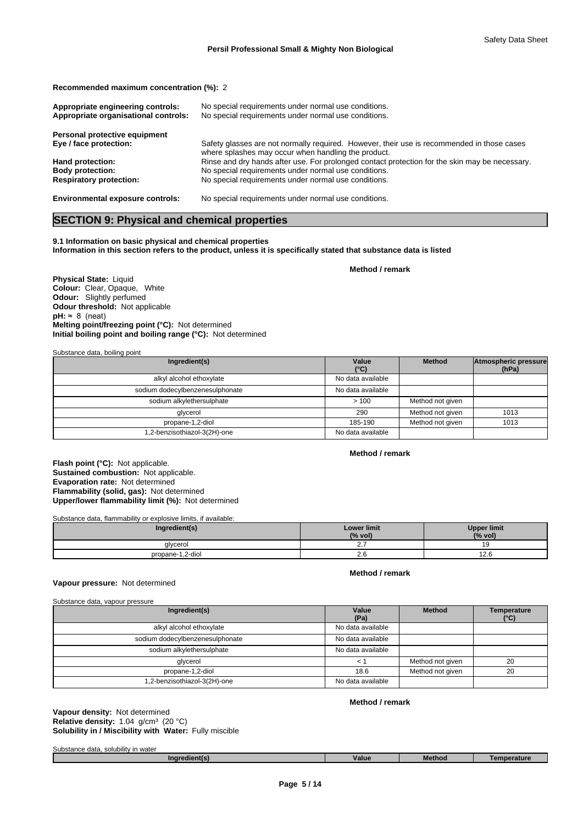**Recommended maximum concentration (%):** 2

| Appropriate engineering controls:<br>Appropriate organisational controls: | No special requirements under normal use conditions.<br>No special requirements under normal use conditions.                                      |
|---------------------------------------------------------------------------|---------------------------------------------------------------------------------------------------------------------------------------------------|
| Personal protective equipment                                             |                                                                                                                                                   |
| Eye / face protection:                                                    | Safety glasses are not normally required. However, their use is recommended in those cases<br>where splashes may occur when handling the product. |
| Hand protection:                                                          | Rinse and dry hands after use. For prolonged contact protection for the skin may be necessary.                                                    |
| <b>Body protection:</b>                                                   | No special requirements under normal use conditions.                                                                                              |
| <b>Respiratory protection:</b>                                            | No special requirements under normal use conditions.                                                                                              |
| <b>Environmental exposure controls:</b>                                   | No special requirements under normal use conditions.                                                                                              |

# **SECTION 9: Physical and chemical properties**

**9.1 Information on basic physical and chemical properties Information in this section refers to the product, unless it is specifically stated that substance data is listed**

**Method / remark**

**Physical State:** Liquid **Colour:** Clear, Opaque, White **Odour:** Slightly perfumed **Odour threshold:** Not applicable  $pH: ~ 8$  (neat) **Initial boiling point and boiling range (°C):** Not determined **Melting point/freezing point (°C):** Not determined

Substance data, boiling point

| Ingredient(s)                   | Value<br>$(^{\circ}C)$ | <b>Method</b>    | Atmospheric pressure<br>(hPa) |
|---------------------------------|------------------------|------------------|-------------------------------|
| alkyl alcohol ethoxylate        | No data available      |                  |                               |
| sodium dodecylbenzenesulphonate | No data available      |                  |                               |
| sodium alkylethersulphate       | >100                   | Method not given |                               |
| glycerol                        | 290                    | Method not given | 1013                          |
| propane-1,2-diol                | 185-190                | Method not given | 1013                          |
| .2-benzisothiazol-3(2H)-one     | No data available      |                  |                               |

#### **Method / remark**

**Flash point (°C):** Not applicable. **Sustained combustion:** Not applicable. **Evaporation rate:** Not determined **Flammability (solid, gas):** Not determined **Upper/lower flammability limit (%):** Not determined

Substance data, flammability or explosive limits, if available:

| Ingredient(s)    | <b>Lower limit</b><br>(% vol) | <b>Upper limit</b><br>(% vol) |
|------------------|-------------------------------|-------------------------------|
| glycerol         | <b>L.</b>                     |                               |
| propane-1,2-diol | <b>2.0</b>                    | $\sim$ $\sim$<br>0. 4 ا       |

## **Method / remark**

**Vapour pressure:** Not determined

| Substance data, vapour pressure |                   |                  |                            |
|---------------------------------|-------------------|------------------|----------------------------|
| Ingredient(s)                   | Value<br>(Pa)     | <b>Method</b>    | <b>Temperature</b><br>(°C) |
| alkyl alcohol ethoxylate        | No data available |                  |                            |
| sodium dodecylbenzenesulphonate | No data available |                  |                            |
| sodium alkylethersulphate       | No data available |                  |                            |
| glycerol                        | < 1               | Method not given | 20                         |
| propane-1,2-diol                | 18.6              | Method not given | 20                         |
| 1,2-benzisothiazol-3(2H)-one    | No data available |                  |                            |
|                                 |                   |                  |                            |

**Solubility in / Miscibility with Water:** Fully miscible **Vapour density:** Not determined **Relative density:** 1.04 g/cm<sup>3</sup> (20 °C)

#### **Method / remark**

Substance data, solubility in water

| 'edient(s) | Value | Method | Temperature |
|------------|-------|--------|-------------|
|            |       |        |             |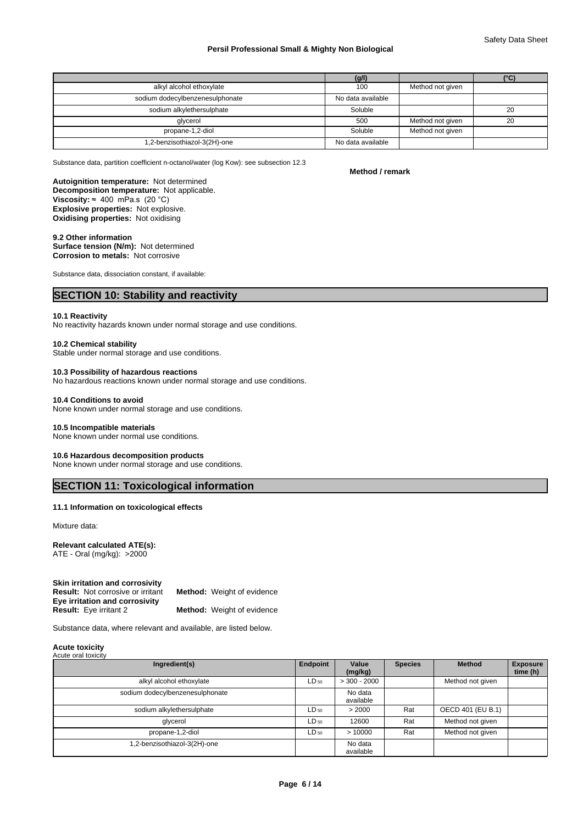|                                 | (g/l)             |                  | (°C) |  |
|---------------------------------|-------------------|------------------|------|--|
| alkyl alcohol ethoxylate        | 100               | Method not given |      |  |
| sodium dodecylbenzenesulphonate | No data available |                  |      |  |
| sodium alkylethersulphate       | Soluble           |                  | 20   |  |
| glycerol                        | 500               | Method not given | 20   |  |
| propane-1,2-diol                | Soluble           | Method not given |      |  |
| .2-benzisothiazol-3(2H)-one     | No data available |                  |      |  |

Substance data, partition coefficient n-octanol/water (log Kow): see subsection 12.3

# **Method / remark**

**Decomposition temperature:** Not applicable. **Explosive properties:** Not explosive. **Oxidising properties:** Not oxidising **Viscosity:**  $≈ 400$  mPa.s (20 °C) **Autoignition temperature:** Not determined

#### **9.2 Other information**

**Surface tension (N/m):** Not determined **Corrosion to metals:** Not corrosive

Substance data, dissociation constant, if available:

# **SECTION 10: Stability and reactivity**

#### **10.1 Reactivity**

No reactivity hazards known under normal storage and use conditions.

#### **10.2 Chemical stability**

Stable under normal storage and use conditions.

#### **10.3 Possibility of hazardous reactions**

No hazardous reactions known under normal storage and use conditions.

#### **10.4 Conditions to avoid**

None known under normal storage and use conditions.

#### **10.5 Incompatible materials**

None known under normal use conditions.

#### **10.6 Hazardous decomposition products**

None known under normal storage and use conditions.

# **SECTION 11: Toxicological information**

#### **11.1 Information on toxicological effects**

Mixture data:

#### **Relevant calculated ATE(s):**

ATE - Oral (mg/kg): >2000

| Skin irritation and corrosivity          |                                   |
|------------------------------------------|-----------------------------------|
| <b>Result:</b> Not corrosive or irritant | <b>Method:</b> Weight of evidence |
| Eye irritation and corrosivity           |                                   |
| <b>Result:</b> Eye irritant 2            | <b>Method:</b> Weight of evidence |

Substance data, where relevant and available, are listed below.

#### **Acute toxicity** Acute oral toxicity

| Ingredient(s)                   | Endpoint  | Value<br>(mg/kg)     | <b>Species</b> | Method            | <b>Exposure</b><br>time (h) |
|---------------------------------|-----------|----------------------|----------------|-------------------|-----------------------------|
| alkyl alcohol ethoxylate        | $LD_{50}$ | $>$ 300 - 2000       |                | Method not given  |                             |
| sodium dodecylbenzenesulphonate |           | No data<br>available |                |                   |                             |
| sodium alkylethersulphate       | $LD_{50}$ | > 2000               | Rat            | OECD 401 (EU B.1) |                             |
| glycerol                        | $LD_{50}$ | 12600                | Rat            | Method not given  |                             |
| propane-1,2-diol                | $LD_{50}$ | >10000               | Rat            | Method not given  |                             |
| 1,2-benzisothiazol-3(2H)-one    |           | No data<br>available |                |                   |                             |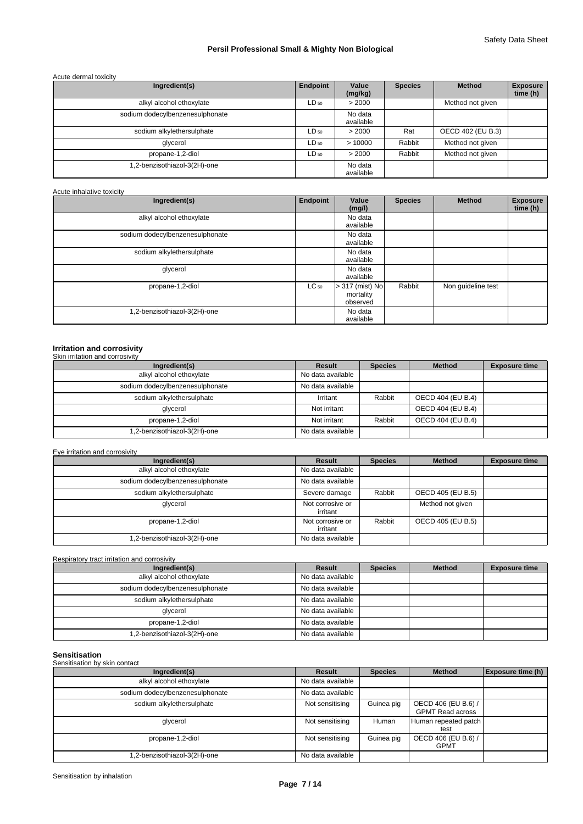#### Acute dermal toxicity

| Ingredient(s)                   | Endpoint  | Value<br>(mg/kg)     | <b>Species</b> | <b>Method</b>     | <b>Exposure</b><br>time (h) |
|---------------------------------|-----------|----------------------|----------------|-------------------|-----------------------------|
| alkyl alcohol ethoxylate        | $LD_{50}$ | > 2000               |                | Method not given  |                             |
| sodium dodecylbenzenesulphonate |           | No data<br>available |                |                   |                             |
| sodium alkylethersulphate       | $LD_{50}$ | > 2000               | Rat            | OECD 402 (EU B.3) |                             |
| glycerol                        | $LD_{50}$ | >10000               | Rabbit         | Method not given  |                             |
| propane-1,2-diol                | $LD_{50}$ | > 2000               | Rabbit         | Method not given  |                             |
| 1,2-benzisothiazol-3(2H)-one    |           | No data<br>available |                |                   |                             |

| Acute inhalative toxicity |  |
|---------------------------|--|
|---------------------------|--|

| Ingredient(s)                   | Endpoint  | Value<br>(mg/l)                            | <b>Species</b> | Method             | <b>Exposure</b><br>time (h) |
|---------------------------------|-----------|--------------------------------------------|----------------|--------------------|-----------------------------|
| alkyl alcohol ethoxylate        |           | No data<br>available                       |                |                    |                             |
| sodium dodecylbenzenesulphonate |           | No data<br>available                       |                |                    |                             |
| sodium alkylethersulphate       |           | No data<br>available                       |                |                    |                             |
| glycerol                        |           | No data<br>available                       |                |                    |                             |
| propane-1,2-diol                | $LC_{50}$ | $> 317$ (mist) No<br>mortality<br>observed | Rabbit         | Non guideline test |                             |
| 1,2-benzisothiazol-3(2H)-one    |           | No data<br>available                       |                |                    |                             |

# **Irritation and corrosivity** Skin irritation and corrosivity

| Ingredient(s)                   | Result            | <b>Species</b> | <b>Method</b>     | <b>Exposure time</b> |
|---------------------------------|-------------------|----------------|-------------------|----------------------|
| alkyl alcohol ethoxylate        | No data available |                |                   |                      |
| sodium dodecylbenzenesulphonate | No data available |                |                   |                      |
| sodium alkylethersulphate       | Irritant          | Rabbit         | OECD 404 (EU B.4) |                      |
| glycerol                        | Not irritant      |                | OECD 404 (EU B.4) |                      |
| propane-1,2-diol                | Not irritant      | Rabbit         | OECD 404 (EU B.4) |                      |
| 1,2-benzisothiazol-3(2H)-one    | No data available |                |                   |                      |

#### Eye irritation and corrosivity

| Ingredient(s)                   | Result                       | <b>Species</b> | <b>Method</b>     | <b>Exposure time</b> |
|---------------------------------|------------------------------|----------------|-------------------|----------------------|
| alkyl alcohol ethoxylate        | No data available            |                |                   |                      |
| sodium dodecylbenzenesulphonate | No data available            |                |                   |                      |
| sodium alkylethersulphate       | Severe damage                | Rabbit         | OECD 405 (EU B.5) |                      |
| glycerol                        | Not corrosive or<br>irritant |                | Method not given  |                      |
| propane-1,2-diol                | Not corrosive or<br>irritant | Rabbit         | OECD 405 (EU B.5) |                      |
| .2-benzisothiazol-3(2H)-one     | No data available            |                |                   |                      |

| Respiratory tract irritation and corrosivity |                   |                |               |                      |  |  |  |
|----------------------------------------------|-------------------|----------------|---------------|----------------------|--|--|--|
| Ingredient(s)                                | Result            | <b>Species</b> | <b>Method</b> | <b>Exposure time</b> |  |  |  |
| alkyl alcohol ethoxylate                     | No data available |                |               |                      |  |  |  |
| sodium dodecylbenzenesulphonate              | No data available |                |               |                      |  |  |  |
| sodium alkylethersulphate                    | No data available |                |               |                      |  |  |  |
| glycerol                                     | No data available |                |               |                      |  |  |  |
| propane-1,2-diol                             | No data available |                |               |                      |  |  |  |
| 1,2-benzisothiazol-3(2H)-one                 | No data available |                |               |                      |  |  |  |

| Sensitisation<br>Sensitisation by skin contact |                   |                |                                                |                          |
|------------------------------------------------|-------------------|----------------|------------------------------------------------|--------------------------|
| Ingredient(s)                                  | Result            | <b>Species</b> | <b>Method</b>                                  | <b>Exposure time (h)</b> |
| alkyl alcohol ethoxylate                       | No data available |                |                                                |                          |
| sodium dodecylbenzenesulphonate                | No data available |                |                                                |                          |
| sodium alkylethersulphate                      | Not sensitising   | Guinea pig     | OECD 406 (EU B.6) /<br><b>GPMT Read across</b> |                          |
| glycerol                                       | Not sensitising   | Human          | Human repeated patch<br>test                   |                          |
| propane-1,2-diol                               | Not sensitising   | Guinea pig     | OECD 406 (EU B.6) /<br><b>GPMT</b>             |                          |
| .2-benzisothiazol-3(2H)-one                    | No data available |                |                                                |                          |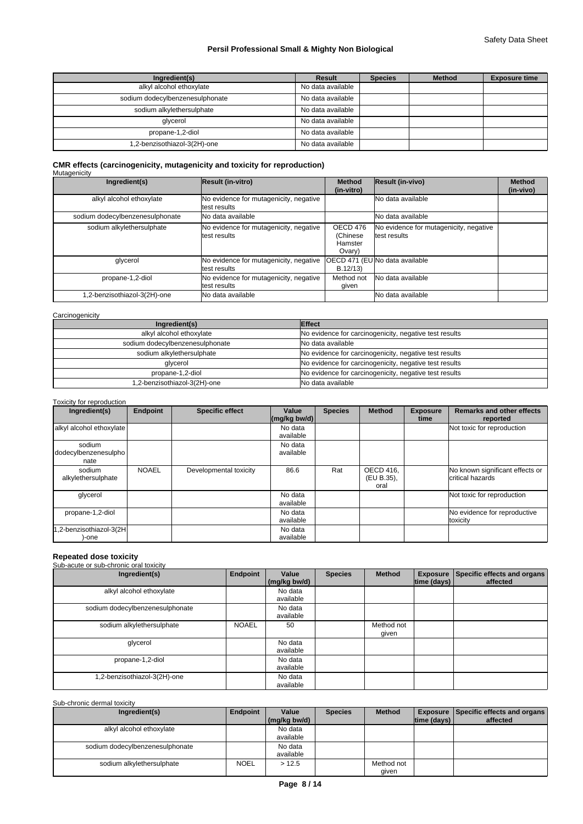# Safety Data Sheet

# **Persil Professional Small & Mighty Non Biological**

| Ingredient(s)                   | Result            | <b>Species</b> | <b>Method</b> | <b>Exposure time</b> |
|---------------------------------|-------------------|----------------|---------------|----------------------|
| alkyl alcohol ethoxylate        | No data available |                |               |                      |
| sodium dodecylbenzenesulphonate | No data available |                |               |                      |
| sodium alkylethersulphate       | No data available |                |               |                      |
| glycerol                        | No data available |                |               |                      |
| propane-1,2-diol                | No data available |                |               |                      |
| 1,2-benzisothiazol-3(2H)-one    | No data available |                |               |                      |

# **CMR effects (carcinogenicity, mutagenicity and toxicity for reproduction)** Mutagenicity

| Ingredient(s)                   | Result (in-vitro)                                      | <b>Method</b><br>(in-vitro)                | Result (in-vivo)                                       | <b>Method</b><br>(in-vivo) |
|---------------------------------|--------------------------------------------------------|--------------------------------------------|--------------------------------------------------------|----------------------------|
| alkyl alcohol ethoxylate        | No evidence for mutagenicity, negative<br>test results |                                            | No data available                                      |                            |
| sodium dodecylbenzenesulphonate | No data available                                      |                                            | No data available                                      |                            |
| sodium alkylethersulphate       | No evidence for mutagenicity, negative<br>test results | OECD 476<br>(Chinese)<br>Hamster<br>Ovary) | No evidence for mutagenicity, negative<br>test results |                            |
| glycerol                        | No evidence for mutagenicity, negative<br>test results | B.12/13                                    | OECD 471 (EU No data available                         |                            |
| propane-1,2-diol                | No evidence for mutagenicity, negative<br>test results | Method not<br>given                        | No data available                                      |                            |
| .2-benzisothiazol-3(2H)-one     | <b>No data available</b>                               |                                            | No data available                                      |                            |

#### **Carcinogenicity**

| Ingredient(s)                   | Effect                                                 |
|---------------------------------|--------------------------------------------------------|
| alkyl alcohol ethoxylate        | No evidence for carcinogenicity, negative test results |
| sodium dodecylbenzenesulphonate | No data available                                      |
| sodium alkylethersulphate       | No evidence for carcinogenicity, negative test results |
| glycerol                        | No evidence for carcinogenicity, negative test results |
| propane-1,2-diol                | No evidence for carcinogenicity, negative test results |
| 1,2-benzisothiazol-3(2H)-one    | No data available                                      |

#### Toxicity for reproduction

| Ingredient(s)                          | <b>Endpoint</b> | <b>Specific effect</b> | Value<br>$\left \frac{\text{mg}}{\text{kg}}\right $ bw/d) | <b>Species</b> | <b>Method</b>                   | <b>Exposure</b><br>time | <b>Remarks and other effects</b><br>reported        |
|----------------------------------------|-----------------|------------------------|-----------------------------------------------------------|----------------|---------------------------------|-------------------------|-----------------------------------------------------|
| alkyl alcohol ethoxylate               |                 |                        | No data<br>available                                      |                |                                 |                         | Not toxic for reproduction                          |
| sodium<br>dodecylbenzenesulpho<br>nate |                 |                        | No data<br>available                                      |                |                                 |                         |                                                     |
| sodium<br>alkylethersulphate           | <b>NOAEL</b>    | Developmental toxicity | 86.6                                                      | Rat            | OECD 416,<br>(EU B.35),<br>oral |                         | No known significant effects or<br>critical hazards |
| glycerol                               |                 |                        | No data<br>available                                      |                |                                 |                         | Not toxic for reproduction                          |
| propane-1,2-diol                       |                 |                        | No data<br>available                                      |                |                                 |                         | No evidence for reproductive<br>toxicity            |
| 1,2-benzisothiazol-3(2H<br>)-one       |                 |                        | No data<br>available                                      |                |                                 |                         |                                                     |

# **Repeated dose toxicity** Sub-acute or sub-chronic oral toxicity

| Ingredient(s)                   | Endpoint     | Value<br>(mg/kg bw/d) | <b>Species</b> | Method              | $ time$ (days) $ $ | Exposure Specific effects and organs<br>affected |
|---------------------------------|--------------|-----------------------|----------------|---------------------|--------------------|--------------------------------------------------|
| alkyl alcohol ethoxylate        |              | No data<br>available  |                |                     |                    |                                                  |
| sodium dodecylbenzenesulphonate |              | No data<br>available  |                |                     |                    |                                                  |
| sodium alkylethersulphate       | <b>NOAEL</b> | 50                    |                | Method not<br>qiven |                    |                                                  |
| glycerol                        |              | No data<br>available  |                |                     |                    |                                                  |
| propane-1,2-diol                |              | No data<br>available  |                |                     |                    |                                                  |
| 1,2-benzisothiazol-3(2H)-one    |              | No data<br>available  |                |                     |                    |                                                  |

#### Sub-chronic dermal toxicity

| Ingredient(s)                   | Endpoint    | Value<br>(mg/kg bw/d) | <b>Species</b> | <b>Method</b> | $ time$ (days) $ $ | <b>Exposure   Specific effects and organs  </b><br>affected |
|---------------------------------|-------------|-----------------------|----------------|---------------|--------------------|-------------------------------------------------------------|
|                                 |             |                       |                |               |                    |                                                             |
| alkyl alcohol ethoxylate        |             | No data               |                |               |                    |                                                             |
|                                 |             | available             |                |               |                    |                                                             |
| sodium dodecylbenzenesulphonate |             | No data               |                |               |                    |                                                             |
|                                 |             | available             |                |               |                    |                                                             |
| sodium alkylethersulphate       | <b>NOEL</b> | >12.5                 |                | Method not    |                    |                                                             |
|                                 |             |                       |                | given         |                    |                                                             |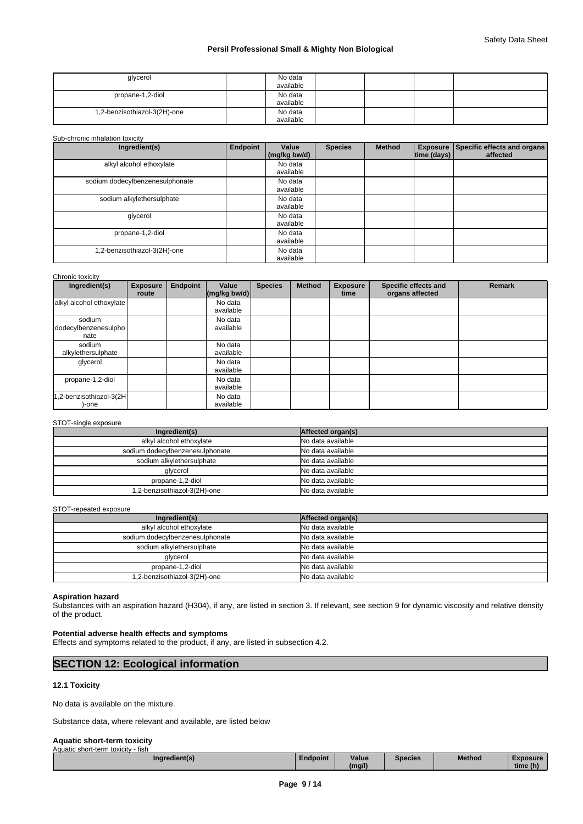| glycerol                     | No data<br>available |  |  |
|------------------------------|----------------------|--|--|
| propane-1,2-diol             | No data<br>available |  |  |
| 1,2-benzisothiazol-3(2H)-one | No data<br>available |  |  |

#### Sub-chronic inhalation toxicity

| Ingredient(s)                   | Endpoint | Value<br>(mg/kg bw/d) | <b>Species</b> | <b>Method</b> | <b>Exposure</b><br> time (days) | Specific effects and organs<br>affected |
|---------------------------------|----------|-----------------------|----------------|---------------|---------------------------------|-----------------------------------------|
| alkyl alcohol ethoxylate        |          | No data<br>available  |                |               |                                 |                                         |
| sodium dodecylbenzenesulphonate |          | No data<br>available  |                |               |                                 |                                         |
| sodium alkylethersulphate       |          | No data<br>available  |                |               |                                 |                                         |
| glycerol                        |          | No data<br>available  |                |               |                                 |                                         |
| propane-1,2-diol                |          | No data<br>available  |                |               |                                 |                                         |
| 1,2-benzisothiazol-3(2H)-one    |          | No data<br>available  |                |               |                                 |                                         |

| Chronic toxicity                       |                          |          |                       |                |               |                         |                                         |               |
|----------------------------------------|--------------------------|----------|-----------------------|----------------|---------------|-------------------------|-----------------------------------------|---------------|
| Ingredient(s)                          | <b>Exposure</b><br>route | Endpoint | Value<br>(mg/kg bw/d) | <b>Species</b> | <b>Method</b> | <b>Exposure</b><br>time | Specific effects and<br>organs affected | <b>Remark</b> |
| alkyl alcohol ethoxylate               |                          |          | No data<br>available  |                |               |                         |                                         |               |
| sodium<br>dodecylbenzenesulpho<br>nate |                          |          | No data<br>available  |                |               |                         |                                         |               |
| sodium<br>alkylethersulphate           |                          |          | No data<br>available  |                |               |                         |                                         |               |
| glycerol                               |                          |          | No data<br>available  |                |               |                         |                                         |               |
| propane-1,2-diol                       |                          |          | No data<br>available  |                |               |                         |                                         |               |
| 1,2-benzisothiazol-3(2H<br>-one        |                          |          | No data<br>available  |                |               |                         |                                         |               |

#### STOT-single exposure

| Ingredient(s)                   | Affected organ(s) |
|---------------------------------|-------------------|
| alkyl alcohol ethoxylate        | No data available |
| sodium dodecylbenzenesulphonate | No data available |
| sodium alkylethersulphate       | No data available |
| glycerol                        | No data available |
| propane-1,2-diol                | No data available |
| 1.2-benzisothiazol-3(2H)-one    | No data available |

#### STOT-repeated exposure

| Ingredient(s)                   | Affected organ(s) |
|---------------------------------|-------------------|
| alkyl alcohol ethoxylate        | No data available |
| sodium dodecylbenzenesulphonate | No data available |
| sodium alkylethersulphate       | No data available |
| glycerol                        | No data available |
| propane-1,2-diol                | No data available |
| 1,2-benzisothiazol-3(2H)-one    | No data available |

#### **Aspiration hazard**

Substances with an aspiration hazard (H304), if any, are listed in section 3. If relevant, see section 9 for dynamic viscosity and relative density of the product.

#### **Potential adverse health effects and symptoms**

Effects and symptoms related to the product, if any, are listed in subsection 4.2.

# **SECTION 12: Ecological information**

#### **12.1 Toxicity**

No data is available on the mixture.

Substance data, where relevant and available, are listed below

#### **Aquatic short-term toxicity**

| Aquatic short-term toxicity<br>- fish |          |        |                |               |          |
|---------------------------------------|----------|--------|----------------|---------------|----------|
| Ingredient(s)                         | Endpoint | Value  | <b>Species</b> | <b>Method</b> | Exposure |
|                                       |          | (mg/l) |                |               | time (h) |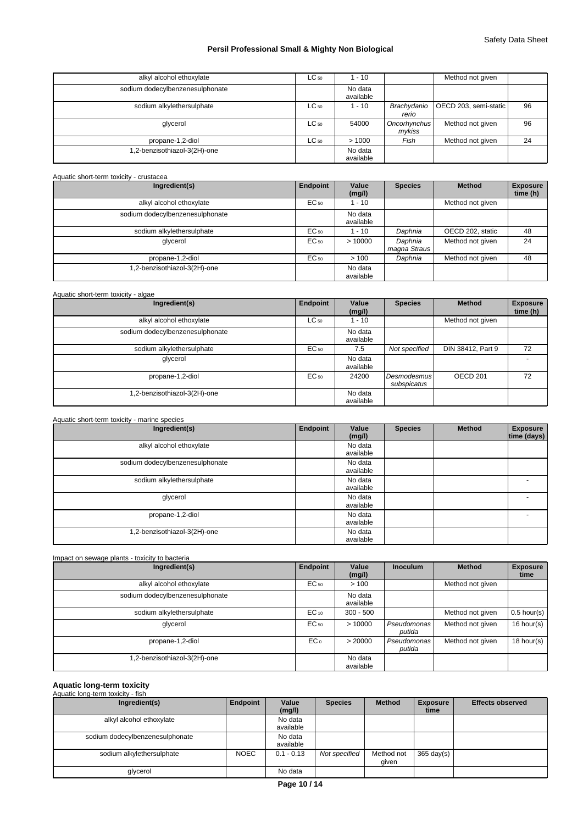| alkyl alcohol ethoxylate        | $LC_{50}$ | $-10$                |                        | Method not given      |    |
|---------------------------------|-----------|----------------------|------------------------|-----------------------|----|
| sodium dodecylbenzenesulphonate |           | No data<br>available |                        |                       |    |
| sodium alkylethersulphate       | $LC_{50}$ | $-10$                | Brachydanio<br>rerio   | OECD 203, semi-static | 96 |
| glycerol                        | $LC_{50}$ | 54000                | Oncorhynchus<br>mykiss | Method not given      | 96 |
| propane-1,2-diol                | $LC_{50}$ | >1000                | Fish                   | Method not given      | 24 |
| 1,2-benzisothiazol-3(2H)-one    |           | No data<br>available |                        |                       |    |

#### Aquatic short-term toxicity - crustacea

| Ingredient(s)                   | Endpoint  | Value<br>(mg/l)      | <b>Species</b>          | <b>Method</b>    | <b>Exposure</b><br>time (h) |
|---------------------------------|-----------|----------------------|-------------------------|------------------|-----------------------------|
| alkyl alcohol ethoxylate        | $EC_{50}$ | 1 - 10               |                         | Method not given |                             |
| sodium dodecylbenzenesulphonate |           | No data<br>available |                         |                  |                             |
| sodium alkylethersulphate       | EC 50     | 1 - 10               | Daphnia                 | OECD 202, static | 48                          |
| glycerol                        | EC 50     | >10000               | Daphnia<br>magna Straus | Method not given | 24                          |
| propane-1,2-diol                | $EC_{50}$ | >100                 | Daphnia                 | Method not given | 48                          |
| .2-benzisothiazol-3(2H)-one     |           | No data<br>available |                         |                  |                             |

| Aquatic short-term toxicity - algae |                 |                      |                            |                     |                             |
|-------------------------------------|-----------------|----------------------|----------------------------|---------------------|-----------------------------|
| Ingredient(s)                       | <b>Endpoint</b> | Value<br>(mg/l)      | <b>Species</b>             | <b>Method</b>       | <b>Exposure</b><br>time (h) |
| alkyl alcohol ethoxylate            | $LC_{50}$       | 1 - 10               |                            | Method not given    |                             |
| sodium dodecylbenzenesulphonate     |                 | No data<br>available |                            |                     |                             |
| sodium alkylethersulphate           | $EC_{50}$       | 7.5                  | Not specified              | DIN 38412, Part 9   | 72                          |
| glycerol                            |                 | No data<br>available |                            |                     | -                           |
| propane-1,2-diol                    | $EC_{50}$       | 24200                | Desmodesmus<br>subspicatus | OECD <sub>201</sub> | 72                          |
| .2-benzisothiazol-3(2H)-one         |                 | No data<br>available |                            |                     |                             |

| Ingredient(s)                   | <b>Endpoint</b> | Value<br>(mg/l)      | <b>Species</b> | <b>Method</b> | <b>Exposure</b><br>time (days) |
|---------------------------------|-----------------|----------------------|----------------|---------------|--------------------------------|
| alkyl alcohol ethoxylate        |                 | No data<br>available |                |               |                                |
| sodium dodecylbenzenesulphonate |                 | No data<br>available |                |               |                                |
| sodium alkylethersulphate       |                 | No data<br>available |                |               | -                              |
| glycerol                        |                 | No data<br>available |                |               | $\overline{\phantom{a}}$       |
| propane-1,2-diol                |                 | No data<br>available |                |               | -                              |
| .2-benzisothiazol-3(2H)-one     |                 | No data<br>available |                |               |                                |

| Impact on sewage plants - toxicity to bacteria |                 |                      |                       |                  |                         |
|------------------------------------------------|-----------------|----------------------|-----------------------|------------------|-------------------------|
| Ingredient(s)                                  | Endpoint        | Value<br>(mg/l)      | <b>Inoculum</b>       | <b>Method</b>    | <b>Exposure</b><br>time |
| alkyl alcohol ethoxylate                       | EC 50           | >100                 |                       | Method not given |                         |
| sodium dodecylbenzenesulphonate                |                 | No data<br>available |                       |                  |                         |
| sodium alkylethersulphate                      | $EC_{10}$       | $300 - 500$          |                       | Method not given | $0.5$ hour(s)           |
| glycerol                                       | $EC_{50}$       | >10000               | Pseudomonas<br>putida | Method not given | 16 hour(s)              |
| propane-1,2-diol                               | EC <sub>0</sub> | > 20000              | Pseudomonas<br>putida | Method not given | 18 hour(s)              |
| 1,2-benzisothiazol-3(2H)-one                   |                 | No data<br>available |                       |                  |                         |

# **Aquatic long-term toxicity** Aquatic long-term toxicity - fish

| Ingredient(s)                   | Endpoint    | Value<br>(mg/l)      | <b>Species</b> | <b>Method</b>       | <b>Exposure</b><br>time | <b>Effects observed</b> |
|---------------------------------|-------------|----------------------|----------------|---------------------|-------------------------|-------------------------|
| alkyl alcohol ethoxylate        |             | No data<br>available |                |                     |                         |                         |
| sodium dodecylbenzenesulphonate |             | No data<br>available |                |                     |                         |                         |
| sodium alkylethersulphate       | <b>NOEC</b> | $0.1 - 0.13$         | Not specified  | Method not<br>qiven | 365 day(s) $\vert$      |                         |
| glycerol                        |             | No data              |                |                     |                         |                         |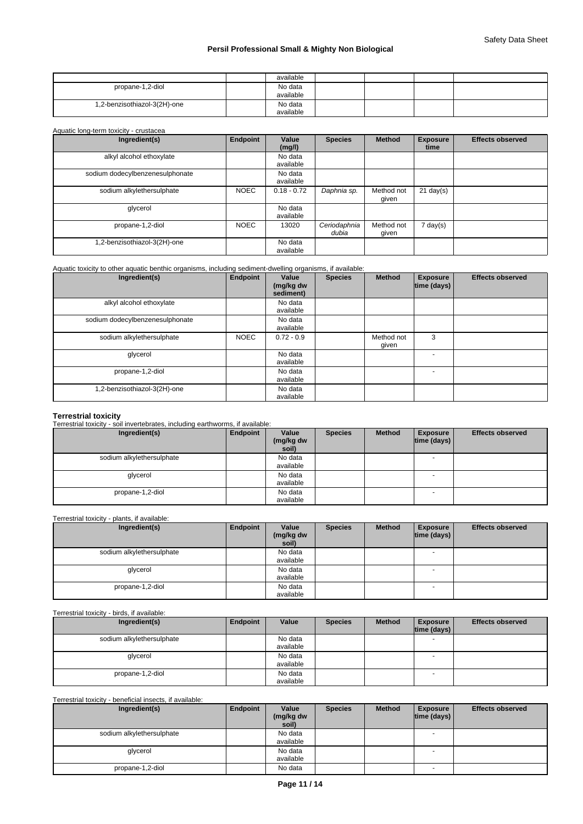|                              | available            |  |  |
|------------------------------|----------------------|--|--|
| propane-1,2-diol             | No data<br>available |  |  |
| 1,2-benzisothiazol-3(2H)-one | No data<br>available |  |  |

## Aquatic long-term toxicity - crustacea

| Ingredient(s)                   | Endpoint    | Value<br>(mg/l)      | <b>Species</b>        | <b>Method</b>       | <b>Exposure</b><br>time | <b>Effects observed</b> |
|---------------------------------|-------------|----------------------|-----------------------|---------------------|-------------------------|-------------------------|
| alkyl alcohol ethoxylate        |             | No data<br>available |                       |                     |                         |                         |
| sodium dodecylbenzenesulphonate |             | No data<br>available |                       |                     |                         |                         |
| sodium alkylethersulphate       | <b>NOEC</b> | $0.18 - 0.72$        | Daphnia sp.           | Method not<br>given | $21$ day(s)             |                         |
| glycerol                        |             | No data<br>available |                       |                     |                         |                         |
| propane-1,2-diol                | <b>NOEC</b> | 13020                | Ceriodaphnia<br>dubia | Method not<br>qiven | 7 day(s)                |                         |
| .2-benzisothiazol-3(2H)-one     |             | No data<br>available |                       |                     |                         |                         |

#### Aquatic toxicity to other aquatic benthic organisms, including sediment-dwelling organisms, if available:

| Ingredient(s)                   | Endpoint    | Value<br>(mg/kg dw<br>sediment) | <b>Species</b> | <b>Method</b>       | <b>Exposure</b><br>time (days) | <b>Effects observed</b> |
|---------------------------------|-------------|---------------------------------|----------------|---------------------|--------------------------------|-------------------------|
| alkyl alcohol ethoxylate        |             | No data<br>available            |                |                     |                                |                         |
| sodium dodecylbenzenesulphonate |             | No data<br>available            |                |                     |                                |                         |
| sodium alkylethersulphate       | <b>NOEC</b> | $0.72 - 0.9$                    |                | Method not<br>given | 3                              |                         |
| glycerol                        |             | No data<br>available            |                |                     |                                |                         |
| propane-1,2-diol                |             | No data<br>available            |                |                     |                                |                         |
| 1,2-benzisothiazol-3(2H)-one    |             | No data<br>available            |                |                     |                                |                         |

# **Terrestrial toxicity** Terrestrial toxicity - soil invertebrates, including earthworms, if available:

| Ingredient(s)             | Endpoint | Value<br>(mg/kg dw<br>soil) | <b>Species</b> | <b>Method</b> | <b>Exposure</b><br>$ time$ (days) $ $ | <b>Effects observed</b> |
|---------------------------|----------|-----------------------------|----------------|---------------|---------------------------------------|-------------------------|
| sodium alkylethersulphate |          | No data<br>available        |                |               | $\overline{\phantom{a}}$              |                         |
| glycerol                  |          | No data<br>available        |                |               | $\overline{\phantom{a}}$              |                         |
| propane-1,2-diol          |          | No data<br>available        |                |               | $\overline{\phantom{a}}$              |                         |

#### Terrestrial toxicity - plants, if available:

| Ingredient(s)             | Endpoint | Value<br>(mg/kg dw<br>soil) | <b>Species</b> | <b>Method</b> | <b>Exposure</b><br> time (days) | <b>Effects observed</b> |
|---------------------------|----------|-----------------------------|----------------|---------------|---------------------------------|-------------------------|
| sodium alkylethersulphate |          | No data<br>available        |                |               |                                 |                         |
| glycerol                  |          | No data<br>available        |                |               | $\sim$                          |                         |
| propane-1,2-diol          |          | No data<br>available        |                |               |                                 |                         |

#### Terrestrial toxicity - birds, if available:

| Ingredient(s)             | Endpoint | Value     | <b>Species</b> | <b>Method</b> | <b>Exposure</b><br> time (days) | <b>Effects observed</b> |
|---------------------------|----------|-----------|----------------|---------------|---------------------------------|-------------------------|
| sodium alkylethersulphate |          | No data   |                |               | - -                             |                         |
|                           |          | available |                |               |                                 |                         |
| glycerol                  |          | No data   |                |               | - -                             |                         |
|                           |          | available |                |               |                                 |                         |
| propane-1,2-diol          |          | No data   |                |               |                                 |                         |
|                           |          | available |                |               |                                 |                         |

### Terrestrial toxicity - beneficial insects, if available:

| Ingredient(s)             | Endpoint | Value<br>(mg/kg dw<br>soil) | <b>Species</b> | <b>Method</b> | <b>Exposure</b><br> time (days) | <b>Effects observed</b> |
|---------------------------|----------|-----------------------------|----------------|---------------|---------------------------------|-------------------------|
| sodium alkylethersulphate |          | No data<br>available        |                |               |                                 |                         |
| glycerol                  |          | No data<br>available        |                |               | $\overline{\phantom{a}}$        |                         |
| propane-1,2-diol          |          | No data                     |                |               | $\overline{\phantom{0}}$        |                         |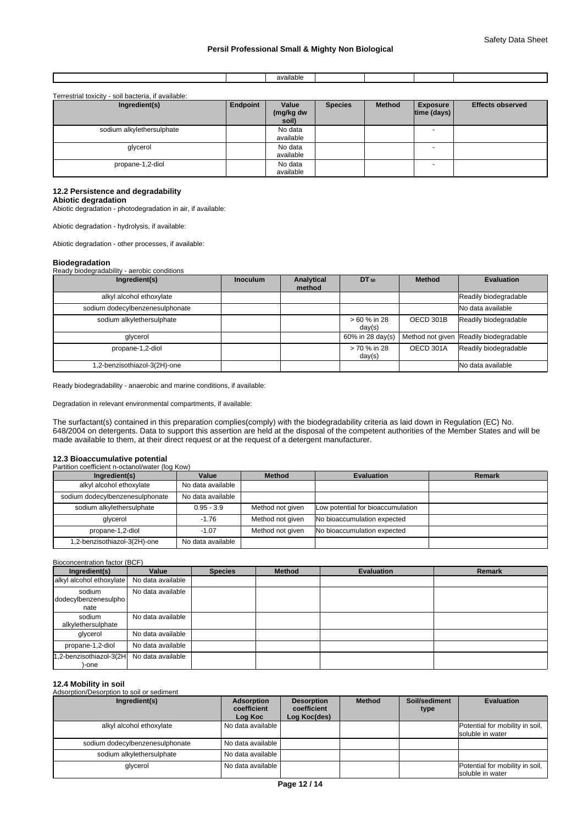|  | $\sim$ $\sim$<br>available |  |  |
|--|----------------------------|--|--|
|  |                            |  |  |

| Terrestrial toxicity - soil bacteria, if available: |  |  |
|-----------------------------------------------------|--|--|
|                                                     |  |  |

| Ingredient(s)             | Endpoint | Value<br>(mg/kg dw<br>soil) | <b>Species</b> | <b>Method</b> | <b>Exposure</b><br> time (days) | <b>Effects observed</b> |
|---------------------------|----------|-----------------------------|----------------|---------------|---------------------------------|-------------------------|
| sodium alkylethersulphate |          | No data<br>available        |                |               | $\overline{\phantom{0}}$        |                         |
| glycerol                  |          | No data<br>available        |                |               | $\overline{\phantom{0}}$        |                         |
| propane-1,2-diol          |          | No data<br>available        |                |               | $\overline{\phantom{a}}$        |                         |

#### **12.2 Persistence and degradability**

**Abiotic degradation**

Abiotic degradation - photodegradation in air, if available:

Abiotic degradation - hydrolysis, if available:

Abiotic degradation - other processes, if available:

#### **Biodegradation**

Ready biodegradability - aerobic conditions

| Ingredient(s)                   | <b>Inoculum</b> | Analytical<br>method | DT 50                  | <b>Method</b> | <b>Evaluation</b>                      |
|---------------------------------|-----------------|----------------------|------------------------|---------------|----------------------------------------|
| alkyl alcohol ethoxylate        |                 |                      |                        |               | Readily biodegradable                  |
| sodium dodecylbenzenesulphonate |                 |                      |                        |               | No data available                      |
| sodium alkylethersulphate       |                 |                      | > 60 % in 28<br>day(s) | OECD 301B     | Readily biodegradable                  |
| glycerol                        |                 |                      | 60% in 28 day(s)       |               | Method not given Readily biodegradable |
| propane-1,2-diol                |                 |                      | > 70 % in 28<br>day(s) | OECD 301A     | Readily biodegradable                  |
| 1,2-benzisothiazol-3(2H)-one    |                 |                      |                        |               | No data available                      |

Ready biodegradability - anaerobic and marine conditions, if available:

Degradation in relevant environmental compartments, if available:

The surfactant(s) contained in this preparation complies(comply) with the biodegradability criteria as laid down in Regulation (EC) No. 648/2004 on detergents. Data to support this assertion are held at the disposal of the competent authorities of the Member States and will be made available to them, at their direct request or at the request of a detergent manufacturer.

#### **12.3 Bioaccumulative potential**

Partition coefficient n-octanol/water (log Kow)

| Ingredient(s)                   | Value             | <b>Method</b>    | <b>Evaluation</b>                 | <b>Remark</b> |
|---------------------------------|-------------------|------------------|-----------------------------------|---------------|
| alkyl alcohol ethoxylate        | No data available |                  |                                   |               |
| sodium dodecylbenzenesulphonate | No data available |                  |                                   |               |
| sodium alkylethersulphate       | $0.95 - 3.9$      | Method not given | Low potential for bioaccumulation |               |
| glycerol                        | $-1.76$           | Method not given | No bioaccumulation expected       |               |
| propane-1,2-diol                | $-1.07$           | Method not given | No bioaccumulation expected       |               |
| 1,2-benzisothiazol-3(2H)-one    | No data available |                  |                                   |               |

Bioconcentration factor (BCF)

| Ingredient(s)                          | Value             | <b>Species</b> | <b>Method</b> | <b>Evaluation</b> | <b>Remark</b> |
|----------------------------------------|-------------------|----------------|---------------|-------------------|---------------|
| alkyl alcohol ethoxylate               | No data available |                |               |                   |               |
| sodium<br>dodecylbenzenesulpho<br>nate | No data available |                |               |                   |               |
| sodium<br>alkylethersulphate           | No data available |                |               |                   |               |
| glycerol                               | No data available |                |               |                   |               |
| propane-1,2-diol                       | No data available |                |               |                   |               |
| 1,2-benzisothiazol-3(2H<br>-one        | No data available |                |               |                   |               |

#### **12.4 Mobility in soil**

Adsorption/Desorption to soil or sediment

| Ingredient(s)                   | <b>Adsorption</b><br>coefficient<br>Log Koc | <b>Desorption</b><br>coefficient<br>Log Koc(des) | <b>Method</b> | Soil/sediment<br>type | <b>Evaluation</b>                                   |
|---------------------------------|---------------------------------------------|--------------------------------------------------|---------------|-----------------------|-----------------------------------------------------|
| alkyl alcohol ethoxylate        | No data available                           |                                                  |               |                       | Potential for mobility in soil,<br>soluble in water |
| sodium dodecylbenzenesulphonate | No data available                           |                                                  |               |                       |                                                     |
| sodium alkylethersulphate       | No data available                           |                                                  |               |                       |                                                     |
| glycerol                        | No data available                           |                                                  |               |                       | Potential for mobility in soil,<br>soluble in water |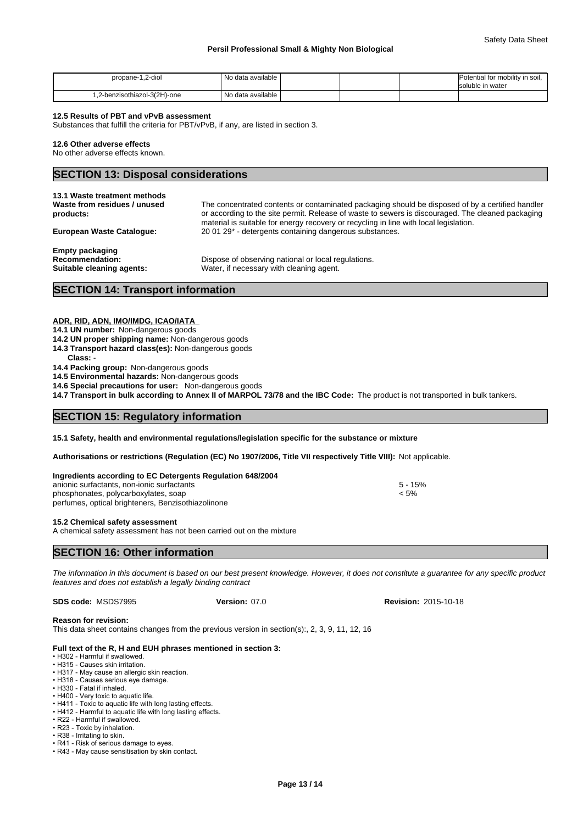| 1.2-diol<br>propane-1                | ' No data available |  | Potential for mobility in soil,<br>Isoluble in water |
|--------------------------------------|---------------------|--|------------------------------------------------------|
| one-(2H)-one-(2H)-chenzisothiazol-3. | No data available   |  |                                                      |

#### **12.5 Results of PBT and vPvB assessment**

Substances that fulfill the criteria for PBT/vPvB, if any, are listed in section 3.

#### **12.6 Other adverse effects**

No other adverse effects known.

### **SECTION 13: Disposal considerations**

| <b>European Waste Catalogue:</b> | material is suitable for energy recovery or recycling in line with local legislation. |
|----------------------------------|---------------------------------------------------------------------------------------|
| <b>Empty packaging</b>           | 20 01 29* - detergents containing dangerous substances.                               |
| <b>Recommendation:</b>           | Dispose of observing national or local regulations.                                   |
| Suitable cleaning agents:        | Water, if necessary with cleaning agent.                                              |

# **SECTION 14: Transport information**

#### **ADR, RID, ADN, IMO/IMDG, ICAO/IATA**

- **14.1 UN number:** Non-dangerous goods
- **14.2 UN proper shipping name:** Non-dangerous goods
- **14.3 Transport hazard class(es):** Non-dangerous goods
- Class:

**14.4 Packing group:** Non-dangerous goods

**14.5 Environmental hazards:** Non-dangerous goods

**14.6 Special precautions for user:** Non-dangerous goods

**14.7 Transport in bulk according to Annex II of MARPOL 73/78 and the IBC Code:** The product is not transported in bulk tankers.

### **SECTION 15: Regulatory information**

**15.1 Safety, health and environmental regulations/legislation specific for the substance or mixture**

**Authorisations or restrictions (Regulation (EC) No 1907/2006, Title VII respectively Title VIII):** Not applicable.

| Ingredients according to EC Detergents Regulation 648/2004 |           |  |
|------------------------------------------------------------|-----------|--|
| anionic surfactants, non-ionic surfactants                 | $5 - 15%$ |  |
| phosphonates, polycarboxylates, soap                       | < 5%      |  |
| perfumes, optical brighteners, Benzisothiazolinone         |           |  |

#### **15.2 Chemical safety assessment**

A chemical safety assessment has not been carried out on the mixture

# **SECTION 16: Other information**

*The information in this document is based on our best present knowledge. However, it does not constitute a guarantee for any specific product features and does not establish a legally binding contract*

**SDS code:** MSDS7995 **Version:** 07.0 **Revision:** 2015-10-18

#### **Reason for revision:**

This data sheet contains changes from the previous version in section(s):, 2, 3, 9, 11, 12, 16

#### **Full text of the R, H and EUH phrases mentioned in section 3:**

- H302 Harmful if swallowed. • H315 - Causes skin irritation.
- H317 May cause an allergic skin reaction.
- H318 Causes serious eye damage.
- H330 Fatal if inhaled
- H400 Very toxic to aquatic life.
- H411 Toxic to aquatic life with long lasting effects.
- H412 Harmful to aquatic life with long lasting effects.
- R22 Harmful if swallowed.
- R23 Toxic by inhalation.  $\cdot$  R38 - Irritating to skin.
- R41 Risk of serious damage to eyes.
- R43 May cause sensitisation by skin contact.